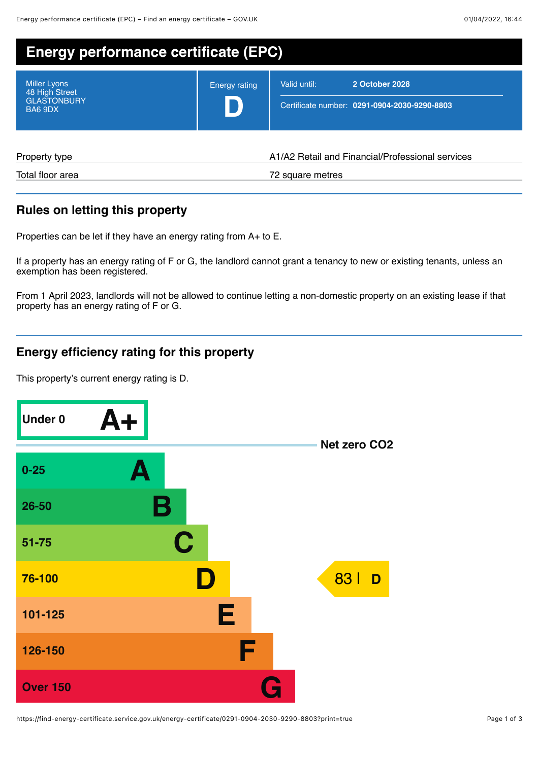#### **Energy performance certificate (EPC)** Miller Lyons 48 High Street GLASTONBURY BA6 9DX Energy rating **D** Valid until: **2 October 2028** Certificate number: **0291-0904-2030-9290-8803**

| Property type    | A1/A2 Retail and Financial/Professional services |
|------------------|--------------------------------------------------|
| Total floor area | 72 square metres                                 |

### **Rules on letting this property**

Properties can be let if they have an energy rating from A+ to E.

If a property has an energy rating of F or G, the landlord cannot grant a tenancy to new or existing tenants, unless an exemption has been registered.

From 1 April 2023, landlords will not be allowed to continue letting a non-domestic property on an existing lease if that property has an energy rating of F or G.

# **Energy efficiency rating for this property**

This property's current energy rating is D.



https://find-energy-certificate.service.gov.uk/energy-certificate/0291-0904-2030-9290-8803?print=true Page 1 of 3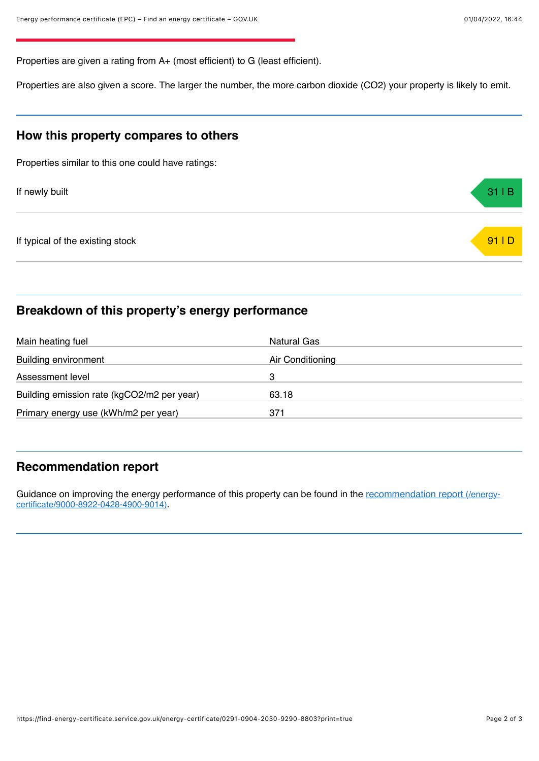Properties are given a rating from A+ (most efficient) to G (least efficient).

Properties are also given a score. The larger the number, the more carbon dioxide (CO2) your property is likely to emit.

#### **How this property compares to others**

Properties similar to this one could have ratings:

If newly built **31 | B** 

If typical of the existing stock example of the existing stock  $\overline{911D}$ 

### **Breakdown of this property's energy performance**

| Main heating fuel                          | Natural Gas      |
|--------------------------------------------|------------------|
| <b>Building environment</b>                | Air Conditioning |
| Assessment level                           | З                |
| Building emission rate (kgCO2/m2 per year) | 63.18            |
| Primary energy use (kWh/m2 per year)       | 371              |

## **Recommendation report**

[Guidance on improving the energy performance of this property can be found in the recommendation report \(/energy](https://find-energy-certificate.service.gov.uk/energy-certificate/9000-8922-0428-4900-9014)certificate/9000-8922-0428-4900-9014).